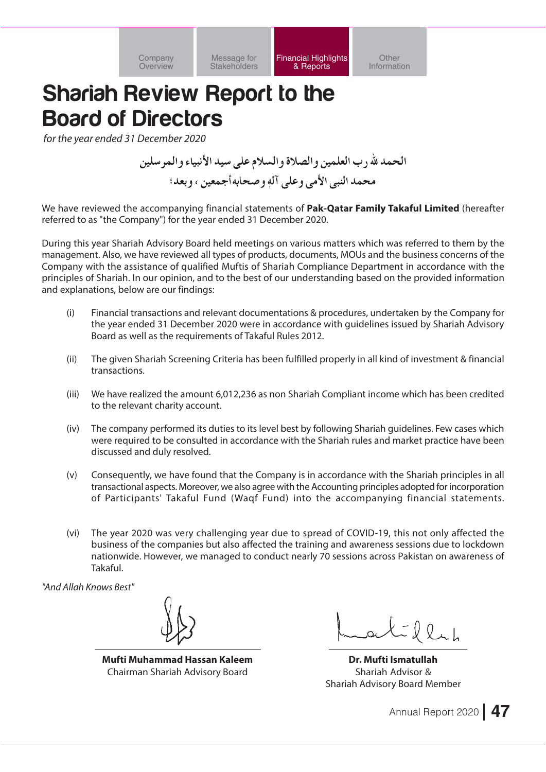**Financial Highlights** & Reports

Other Information

# **Shariah Review Report to the Board of Directors**

for the year ended 31 December 2020

الحمد لله ( ب العلمين و الصلاة و السلام على سيد الأنبياء و المر سلين محمد النبي الأمي وعلى آله و صحابه أجمعين ، و بعد؛

We have reviewed the accompanying financial statements of Pak-Qatar Family Takaful Limited (hereafter referred to as "the Company") for the year ended 31 December 2020.

During this year Shariah Advisory Board held meetings on various matters which was referred to them by the management. Also, we have reviewed all types of products, documents, MOUs and the business concerns of the Company with the assistance of qualified Muftis of Shariah Compliance Department in accordance with the principles of Shariah. In our opinion, and to the best of our understanding based on the provided information and explanations, below are our findings:

- $(i)$ Financial transactions and relevant documentations & procedures, undertaken by the Company for the year ended 31 December 2020 were in accordance with quidelines issued by Shariah Advisory Board as well as the requirements of Takaful Rules 2012.
- The given Shariah Screening Criteria has been fulfilled properly in all kind of investment & financial  $(ii)$ transactions.
- We have realized the amount 6,012,236 as non Shariah Compliant income which has been credited  $(iii)$ to the relevant charity account.
- $(iv)$ The company performed its duties to its level best by following Shariah quidelines. Few cases which were required to be consulted in accordance with the Shariah rules and market practice have been discussed and duly resolved.
- $(v)$ Consequently, we have found that the Company is in accordance with the Shariah principles in all transactional aspects. Moreover, we also agree with the Accounting principles adopted for incorporation of Participants' Takaful Fund (Wagf Fund) into the accompanying financial statements.
- The year 2020 was very challenging year due to spread of COVID-19, this not only affected the  $(vi)$ business of the companies but also affected the training and awareness sessions due to lockdown nationwide. However, we managed to conduct nearly 70 sessions across Pakistan on awareness of Takaful.

"And Allah Knows Best"

Mufti Muhammad Hassan Kaleem Chairman Shariah Advisory Board

alillah

Dr. Mufti Ismatullah Shariah Advisor & **Shariah Advisory Board Member**